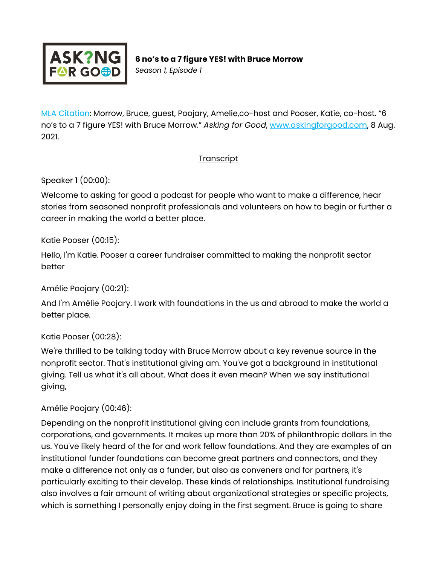

*Season 1, Episode 1*

[MLA Citation:](https://style.mla.org/how-do-i-cite-a-podcast-episode/) Morrow, Bruce, guest, Poojary, Amelie,co-host and Pooser, Katie, co-host. "6 no's to a 7 figure YES! with Bruce Morrow." *Asking for Good*, [www.askingforgood.com,](http://www.askingforgood.com/) 8 Aug. 2021.

#### **Transcript**

Speaker 1 (00:00):

Welcome to asking for good a podcast for people who want to make a difference, hear stories from seasoned nonprofit professionals and volunteers on how to begin or further a career in making the world a better place.

Katie Pooser (00:15):

Hello, I'm Katie. Pooser a career fundraiser committed to making the nonprofit sector better

Amélie Poojary (00:21):

And I'm Amélie Poojary. I work with foundations in the us and abroad to make the world a better place.

Katie Pooser (00:28):

We're thrilled to be talking today with Bruce Morrow about a key revenue source in the nonprofit sector. That's institutional giving am. You've got a background in institutional giving. Tell us what it's all about. What does it even mean? When we say institutional giving,

### Amélie Poojary (00:46):

Depending on the nonprofit institutional giving can include grants from foundations, corporations, and governments. It makes up more than 20% of philanthropic dollars in the us. You've likely heard of the for and work fellow foundations. And they are examples of an institutional funder foundations can become great partners and connectors, and they make a difference not only as a funder, but also as conveners and for partners, it's particularly exciting to their develop. These kinds of relationships. Institutional fundraising also involves a fair amount of writing about organizational strategies or specific projects, which is something I personally enjoy doing in the first segment. Bruce is going to share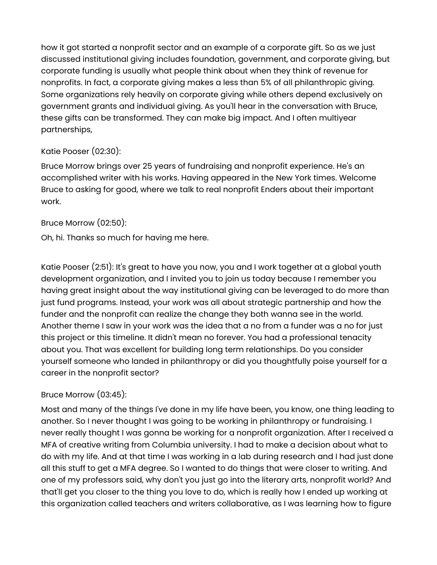how it got started a nonprofit sector and an example of a corporate gift. So as we just discussed institutional giving includes foundation, government, and corporate giving, but corporate funding is usually what people think about when they think of revenue for nonprofits. In fact, a corporate giving makes a less than 5% of all philanthropic giving. Some organizations rely heavily on corporate giving while others depend exclusively on government grants and individual giving. As you'll hear in the conversation with Bruce, these gifts can be transformed. They can make big impact. And I often multiyear partnerships,

### Katie Pooser (02:30):

Bruce Morrow brings over 25 years of fundraising and nonprofit experience. He's an accomplished writer with his works. Having appeared in the New York times. Welcome Bruce to asking for good, where we talk to real nonprofit Enders about their important work.

## Bruce Morrow (02:50):

Oh, hi. Thanks so much for having me here.

Katie Pooser (2:51): It's great to have you now, you and I work together at a global youth development organization, and I invited you to join us today because I remember you having great insight about the way institutional giving can be leveraged to do more than just fund programs. Instead, your work was all about strategic partnership and how the funder and the nonprofit can realize the change they both wanna see in the world. Another theme I saw in your work was the idea that a no from a funder was a no for just this project or this timeline. It didn't mean no forever. You had a professional tenacity about you. That was excellent for building long term relationships. Do you consider yourself someone who landed in philanthropy or did you thoughtfully poise yourself for a career in the nonprofit sector?

# Bruce Morrow (03:45):

Most and many of the things I've done in my life have been, you know, one thing leading to another. So I never thought I was going to be working in philanthropy or fundraising. I never really thought I was gonna be working for a nonprofit organization. After I received a MFA of creative writing from Columbia university. I had to make a decision about what to do with my life. And at that time I was working in a lab during research and I had just done all this stuff to get a MFA degree. So I wanted to do things that were closer to writing. And one of my professors said, why don't you just go into the literary arts, nonprofit world? And that'll get you closer to the thing you love to do, which is really how I ended up working at this organization called teachers and writers collaborative, as I was learning how to figure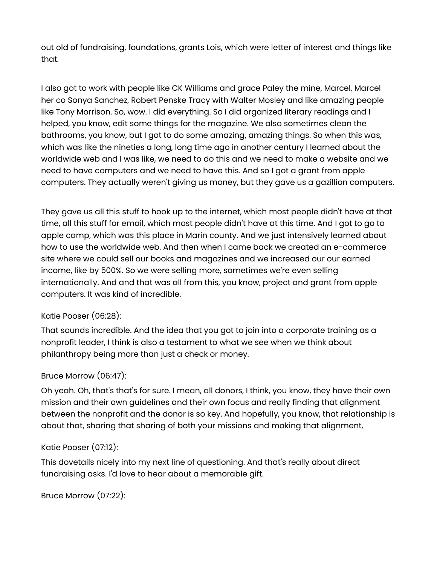out old of fundraising, foundations, grants Lois, which were letter of interest and things like that.

I also got to work with people like CK Williams and grace Paley the mine, Marcel, Marcel her co Sonya Sanchez, Robert Penske Tracy with Walter Mosley and like amazing people like Tony Morrison. So, wow. I did everything. So I did organized literary readings and I helped, you know, edit some things for the magazine. We also sometimes clean the bathrooms, you know, but I got to do some amazing, amazing things. So when this was, which was like the nineties a long, long time ago in another century I learned about the worldwide web and I was like, we need to do this and we need to make a website and we need to have computers and we need to have this. And so I got a grant from apple computers. They actually weren't giving us money, but they gave us a gazillion computers.

They gave us all this stuff to hook up to the internet, which most people didn't have at that time, all this stuff for email, which most people didn't have at this time. And I got to go to apple camp, which was this place in Marin county. And we just intensively learned about how to use the worldwide web. And then when I came back we created an e-commerce site where we could sell our books and magazines and we increased our our earned income, like by 500%. So we were selling more, sometimes we're even selling internationally. And and that was all from this, you know, project and grant from apple computers. It was kind of incredible.

#### Katie Pooser (06:28):

That sounds incredible. And the idea that you got to join into a corporate training as a nonprofit leader, I think is also a testament to what we see when we think about philanthropy being more than just a check or money.

#### Bruce Morrow (06:47):

Oh yeah. Oh, that's that's for sure. I mean, all donors, I think, you know, they have their own mission and their own guidelines and their own focus and really finding that alignment between the nonprofit and the donor is so key. And hopefully, you know, that relationship is about that, sharing that sharing of both your missions and making that alignment,

#### Katie Pooser [\(07:12\)](https://www.temi.com/editor/t/bFtn19aCJnpD6G16pzbVz7j01Zhfv3mNh2PzOVXsYmKnQx3OsM0tU9gdyR9BU9q-2PqYff-zF0cennZyEcGkTPn5M1A?loadFrom=DocumentDeeplink&ts=432.21):

This dovetails nicely into my next line of questioning. And that's really about direct fundraising asks. I'd love to hear about a memorable gift.

```
Bruce Morrow (07:22):
```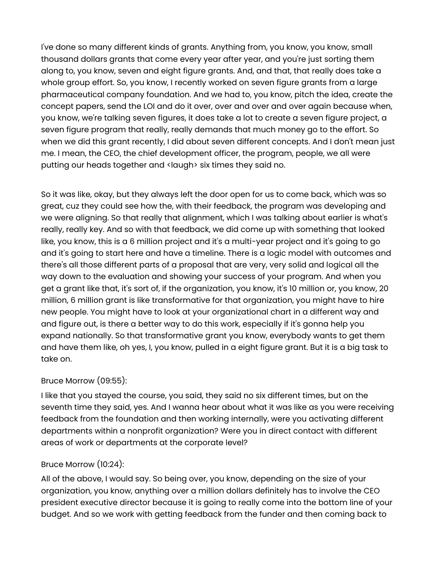I've done so many different kinds of grants. Anything from, you know, you know, small thousand dollars grants that come every year after year, and you're just sorting them along to, you know, seven and eight figure grants. And, and that, that really does take a whole group effort. So, you know, I recently worked on seven figure grants from a large pharmaceutical company foundation. And we had to, you know, pitch the idea, create the concept papers, send the LOI and do it over, over and over and over again because when, you know, we're talking seven figures, it does take a lot to create a seven figure project, a seven figure program that really, really demands that much money go to the effort. So when we did this grant recently, I did about seven different concepts. And I don't mean just me. I mean, the CEO, the chief development officer, the program, people, we all were putting our heads together and <laugh> six times they said no.

So it was like, okay, but they always left the door open for us to come back, which was so great, cuz they could see how the, with their feedback, the program was developing and we were aligning. So that really that alignment, which I was talking about earlier is what's really, really key. And so with that feedback, we did come up with something that looked like, you know, this is a 6 million project and it's a multi-year project and it's going to go and it's going to start here and have a timeline. There is a logic model with outcomes and there's all those different parts of a proposal that are very, very solid and logical all the way down to the evaluation and showing your success of your program. And when you get a grant like that, it's sort of, if the organization, you know, it's 10 million or, you know, 20 million, 6 million grant is like transformative for that organization, you might have to hire new people. You might have to look at your organizational chart in a different way and and figure out, is there a better way to do this work, especially if it's gonna help you expand nationally. So that transformative grant you know, everybody wants to get them and have them like, oh yes, I, you know, pulled in a eight figure grant. But it is a big task to take on.

### Bruce Morrow (09:55):

I like that you stayed the course, you said, they said no six different times, but on the seventh time they said, yes. And I wanna hear about what it was like as you were receiving feedback from the foundation and then working internally, were you activating different departments within a nonprofit organization? Were you in direct contact with different areas of work or departments at the corporate level?

### Bruce Morrow (10:24):

All of the above, I would say. So being over, you know, depending on the size of your organization, you know, anything over a million dollars definitely has to involve the CEO president executive director because it is going to really come into the bottom line of your budget. And so we work with getting feedback from the funder and then coming back to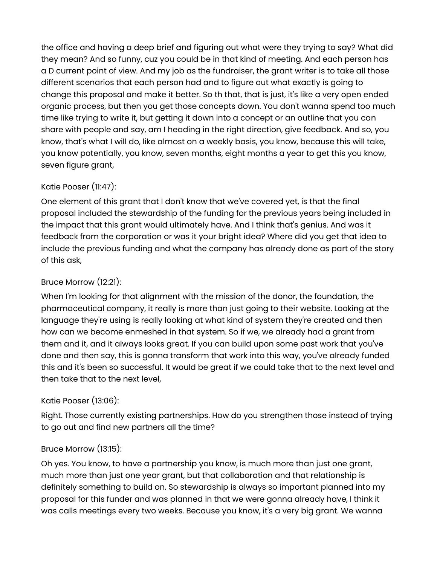the office and having a deep brief and figuring out what were they trying to say? What did they mean? And so funny, cuz you could be in that kind of meeting. And each person has a D current point of view. And my job as the fundraiser, the grant writer is to take all those different scenarios that each person had and to figure out what exactly is going to change this proposal and make it better. So th that, that is just, it's like a very open ended organic process, but then you get those concepts down. You don't wanna spend too much time like trying to write it, but getting it down into a concept or an outline that you can share with people and say, am I heading in the right direction, give feedback. And so, you know, that's what I will do, like almost on a weekly basis, you know, because this will take, you know potentially, you know, seven months, eight months a year to get this you know, seven figure grant,

# Katie Pooser (11:47):

One element of this grant that I don't know that we've covered yet, is that the final proposal included the stewardship of the funding for the previous years being included in the impact that this grant would ultimately have. And I think that's genius. And was it feedback from the corporation or was it your bright idea? Where did you get that idea to include the previous funding and what the company has already done as part of the story of this ask,

# Bruce Morrow (12:21):

When I'm looking for that alignment with the mission of the donor, the foundation, the pharmaceutical company, it really is more than just going to their website. Looking at the language they're using is really looking at what kind of system they're created and then how can we become enmeshed in that system. So if we, we already had a grant from them and it, and it always looks great. If you can build upon some past work that you've done and then say, this is gonna transform that work into this way, you've already funded this and it's been so successful. It would be great if we could take that to the next level and then take that to the next level,

# Katie Pooser (13:06):

Right. Those currently existing partnerships. How do you strengthen those instead of trying to go out and find new partners all the time?

### Bruce Morrow (13:15):

Oh yes. You know, to have a partnership you know, is much more than just one grant, much more than just one year grant, but that collaboration and that relationship is definitely something to build on. So stewardship is always so important planned into my proposal for this funder and was planned in that we were gonna already have, I think it was calls meetings every two weeks. Because you know, it's a very big grant. We wanna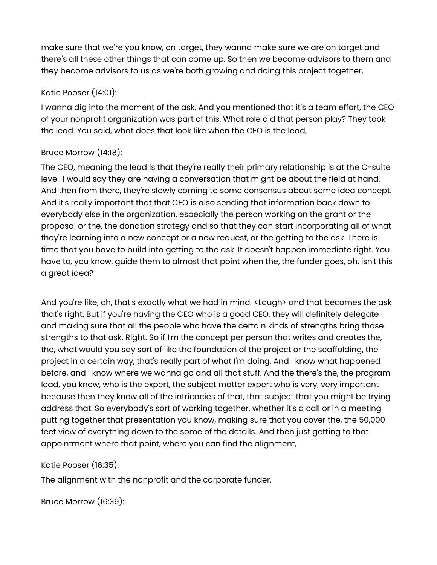make sure that we're you know, on target, they wanna make sure we are on target and there's all these other things that can come up. So then we become advisors to them and they become advisors to us as we're both growing and doing this project together,

### Katie Pooser (14:01):

I wanna dig into the moment of the ask. And you mentioned that it's a team effort, the CEO of your nonprofit organization was part of this. What role did that person play? They took the lead. You said, what does that look like when the CEO is the lead,

### Bruce Morrow (14:18):

The CEO, meaning the lead is that they're really their primary relationship is at the C-suite level. I would say they are having a conversation that might be about the field at hand. And then from there, they're slowly coming to some consensus about some idea concept. And it's really important that that CEO is also sending that information back down to everybody else in the organization, especially the person working on the grant or the proposal or the, the donation strategy and so that they can start incorporating all of what they're learning into a new concept or a new request, or the getting to the ask. There is time that you have to build into getting to the ask. It doesn't happen immediate right. You have to, you know, guide them to almost that point when the, the funder goes, oh, isn't this a great idea?

And you're like, oh, that's exactly what we had in mind. <Laugh> and that becomes the ask that's right. But if you're having the CEO who is a good CEO, they will definitely delegate and making sure that all the people who have the certain kinds of strengths bring those strengths to that ask. Right. So if I'm the concept per person that writes and creates the, the, what would you say sort of like the foundation of the project or the scaffolding, the project in a certain way, that's really part of what I'm doing. And I know what happened before, and I know where we wanna go and all that stuff. And the there's the, the program lead, you know, who is the expert, the subject matter expert who is very, very important because then they know all of the intricacies of that, that subject that you might be trying address that. So everybody's sort of working together, whether it's a call or in a meeting putting together that presentation you know, making sure that you cover the, the 50,000 feet view of everything down to the some of the details. And then just getting to that appointment where that point, where you can find the alignment,

### Katie Pooser (16:35):

The alignment with the nonprofit and the corporate funder.

Bruce Morrow (16:39):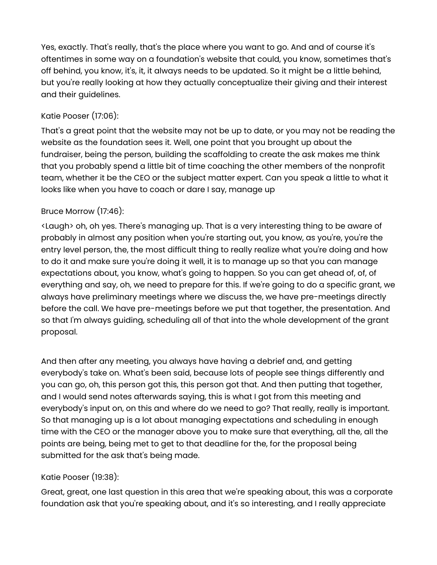Yes, exactly. That's really, that's the place where you want to go. And and of course it's oftentimes in some way on a foundation's website that could, you know, sometimes that's off behind, you know, it's, it, it always needs to be updated. So it might be a little behind, but you're really looking at how they actually conceptualize their giving and their interest and their guidelines.

## Katie Pooser (17:06):

That's a great point that the website may not be up to date, or you may not be reading the website as the foundation sees it. Well, one point that you brought up about the fundraiser, being the person, building the scaffolding to create the ask makes me think that you probably spend a little bit of time coaching the other members of the nonprofit team, whether it be the CEO or the subject matter expert. Can you speak a little to what it looks like when you have to coach or dare I say, manage up

## Bruce Morrow (17:46):

<Laugh> oh, oh yes. There's managing up. That is a very interesting thing to be aware of probably in almost any position when you're starting out, you know, as you're, you're the entry level person, the, the most difficult thing to really realize what you're doing and how to do it and make sure you're doing it well, it is to manage up so that you can manage expectations about, you know, what's going to happen. So you can get ahead of, of, of everything and say, oh, we need to prepare for this. If we're going to do a specific grant, we always have preliminary meetings where we discuss the, we have pre-meetings directly before the call. We have pre-meetings before we put that together, the presentation. And so that I'm always guiding, scheduling all of that into the whole development of the grant proposal.

And then after any meeting, you always have having a debrief and, and getting everybody's take on. What's been said, because lots of people see things differently and you can go, oh, this person got this, this person got that. And then putting that together, and I would send notes afterwards saying, this is what I got from this meeting and everybody's input on, on this and where do we need to go? That really, really is important. So that managing up is a lot about managing expectations and scheduling in enough time with the CEO or the manager above you to make sure that everything, all the, all the points are being, being met to get to that deadline for the, for the proposal being submitted for the ask that's being made.

### Katie Pooser (19:38):

Great, great, one last question in this area that we're speaking about, this was a corporate foundation ask that you're speaking about, and it's so interesting, and I really appreciate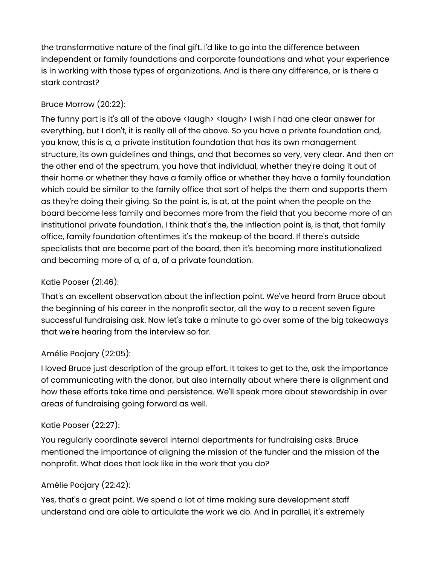the transformative nature of the final gift. I'd like to go into the difference between independent or family foundations and corporate foundations and what your experience is in working with those types of organizations. And is there any difference, or is there a stark contrast?

# Bruce Morrow (20:22):

The funny part is it's all of the above <laugh> <laugh> I wish I had one clear answer for everything, but I don't, it is really all of the above. So you have a private foundation and, you know, this is a, a private institution foundation that has its own management structure, its own guidelines and things, and that becomes so very, very clear. And then on the other end of the spectrum, you have that individual, whether they're doing it out of their home or whether they have a family office or whether they have a family foundation which could be similar to the family office that sort of helps the them and supports them as they're doing their giving. So the point is, is at, at the point when the people on the board become less family and becomes more from the field that you become more of an institutional private foundation, I think that's the, the inflection point is, is that, that family office, family foundation oftentimes it's the makeup of the board. If there's outside specialists that are become part of the board, then it's becoming more institutionalized and becoming more of a, of a, of a private foundation.

# Katie Pooser (21:46):

That's an excellent observation about the inflection point. We've heard from Bruce about the beginning of his career in the nonprofit sector, all the way to a recent seven figure successful fundraising ask. Now let's take a minute to go over some of the big takeaways that we're hearing from the interview so far.

# Amélie Poojary (22:05):

I loved Bruce just description of the group effort. It takes to get to the, ask the importance of communicating with the donor, but also internally about where there is alignment and how these efforts take time and persistence. We'll speak more about stewardship in over areas of fundraising going forward as well.

# Katie Pooser (22:27):

You regularly coordinate several internal departments for fundraising asks. Bruce mentioned the importance of aligning the mission of the funder and the mission of the nonprofit. What does that look like in the work that you do?

# Amélie Poojary (22:42):

Yes, that's a great point. We spend a lot of time making sure development staff understand and are able to articulate the work we do. And in parallel, it's extremely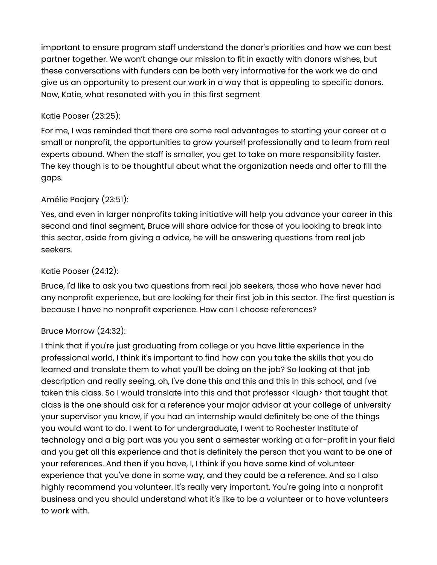important to ensure program staff understand the donor's priorities and how we can best partner together. We won't change our mission to fit in exactly with donors wishes, but these conversations with funders can be both very informative for the work we do and give us an opportunity to present our work in a way that is appealing to specific donors. Now, Katie, what resonated with you in this first segment

## Katie Pooser (23:25):

For me, I was reminded that there are some real advantages to starting your career at a small or nonprofit, the opportunities to grow yourself professionally and to learn from real experts abound. When the staff is smaller, you get to take on more responsibility faster. The key though is to be thoughtful about what the organization needs and offer to fill the gaps.

## Amélie Poojary (23:51):

Yes, and even in larger nonprofits taking initiative will help you advance your career in this second and final segment, Bruce will share advice for those of you looking to break into this sector, aside from giving a advice, he will be answering questions from real job seekers.

### Katie Pooser (24:12):

Bruce, I'd like to ask you two questions from real job seekers, those who have never had any nonprofit experience, but are looking for their first job in this sector. The first question is because I have no nonprofit experience. How can I choose references?

### Bruce Morrow (24:32):

I think that if you're just graduating from college or you have little experience in the professional world, I think it's important to find how can you take the skills that you do learned and translate them to what you'll be doing on the job? So looking at that job description and really seeing, oh, I've done this and this and this in this school, and I've taken this class. So I would translate into this and that professor <laugh> that taught that class is the one should ask for a reference your major advisor at your college of university your supervisor you know, if you had an internship would definitely be one of the things you would want to do. I went to for undergraduate, I went to Rochester Institute of technology and a big part was you you sent a semester working at a for-profit in your field and you get all this experience and that is definitely the person that you want to be one of your references. And then if you have, I, I think if you have some kind of volunteer experience that you've done in some way, and they could be a reference. And so I also highly recommend you volunteer. It's really very important. You're going into a nonprofit business and you should understand what it's like to be a volunteer or to have volunteers to work with.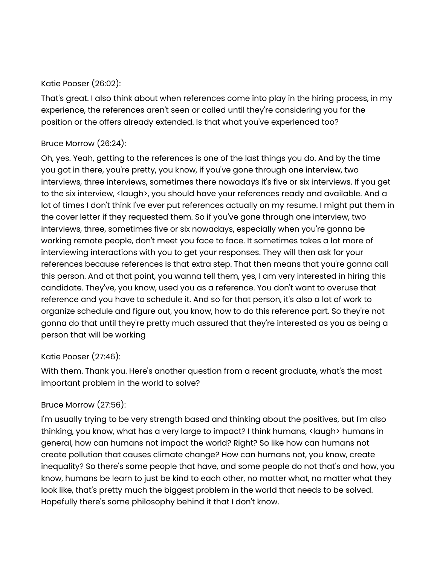#### Katie Pooser (26:02):

That's great. I also think about when references come into play in the hiring process, in my experience, the references aren't seen or called until they're considering you for the position or the offers already extended. Is that what you've experienced too?

#### Bruce Morrow (26:24):

Oh, yes. Yeah, getting to the references is one of the last things you do. And by the time you got in there, you're pretty, you know, if you've gone through one interview, two interviews, three interviews, sometimes there nowadays it's five or six interviews. If you get to the six interview, <laugh>, you should have your references ready and available. And a lot of times I don't think I've ever put references actually on my resume. I might put them in the cover letter if they requested them. So if you've gone through one interview, two interviews, three, sometimes five or six nowadays, especially when you're gonna be working remote people, don't meet you face to face. It sometimes takes a lot more of interviewing interactions with you to get your responses. They will then ask for your references because references is that extra step. That then means that you're gonna call this person. And at that point, you wanna tell them, yes, I am very interested in hiring this candidate. They've, you know, used you as a reference. You don't want to overuse that reference and you have to schedule it. And so for that person, it's also a lot of work to organize schedule and figure out, you know, how to do this reference part. So they're not gonna do that until they're pretty much assured that they're interested as you as being a person that will be working

### Katie Pooser (27:46):

With them. Thank you. Here's another question from a recent graduate, what's the most important problem in the world to solve?

#### Bruce Morrow (27:56):

I'm usually trying to be very strength based and thinking about the positives, but I'm also thinking, you know, what has a very large to impact? I think humans, <laugh> humans in general, how can humans not impact the world? Right? So like how can humans not create pollution that causes climate change? How can humans not, you know, create inequality? So there's some people that have, and some people do not that's and how, you know, humans be learn to just be kind to each other, no matter what, no matter what they look like, that's pretty much the biggest problem in the world that needs to be solved. Hopefully there's some philosophy behind it that I don't know.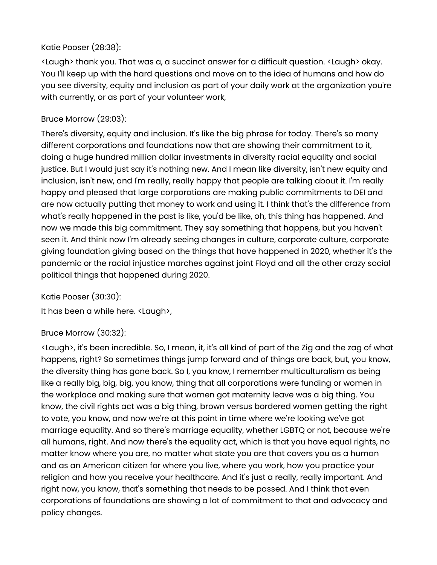## Katie Pooser (28:38):

<Laugh> thank you. That was a, a succinct answer for a difficult question. <Laugh> okay. You I'll keep up with the hard questions and move on to the idea of humans and how do you see diversity, equity and inclusion as part of your daily work at the organization you're with currently, or as part of your volunteer work,

### Bruce Morrow (29:03):

There's diversity, equity and inclusion. It's like the big phrase for today. There's so many different corporations and foundations now that are showing their commitment to it, doing a huge hundred million dollar investments in diversity racial equality and social justice. But I would just say it's nothing new. And I mean like diversity, isn't new equity and inclusion, isn't new, and I'm really, really happy that people are talking about it. I'm really happy and pleased that large corporations are making public commitments to DEI and are now actually putting that money to work and using it. I think that's the difference from what's really happened in the past is like, you'd be like, oh, this thing has happened. And now we made this big commitment. They say something that happens, but you haven't seen it. And think now I'm already seeing changes in culture, corporate culture, corporate giving foundation giving based on the things that have happened in 2020, whether it's the pandemic or the racial injustice marches against joint Floyd and all the other crazy social political things that happened during 2020.

Katie Pooser (30:30):

It has been a while here. <Laugh>,

### Bruce Morrow (30:32):

<Laugh>, it's been incredible. So, I mean, it, it's all kind of part of the Zig and the zag of what happens, right? So sometimes things jump forward and of things are back, but, you know, the diversity thing has gone back. So I, you know, I remember multiculturalism as being like a really big, big, big, you know, thing that all corporations were funding or women in the workplace and making sure that women got maternity leave was a big thing. You know, the civil rights act was a big thing, brown versus bordered women getting the right to vote, you know, and now we're at this point in time where we're looking we've got marriage equality. And so there's marriage equality, whether LGBTQ or not, because we're all humans, right. And now there's the equality act, which is that you have equal rights, no matter know where you are, no matter what state you are that covers you as a human and as an American citizen for where you live, where you work, how you practice your religion and how you receive your healthcare. And it's just a really, really important. And right now, you know, that's something that needs to be passed. And I think that even corporations of foundations are showing a lot of commitment to that and advocacy and policy changes.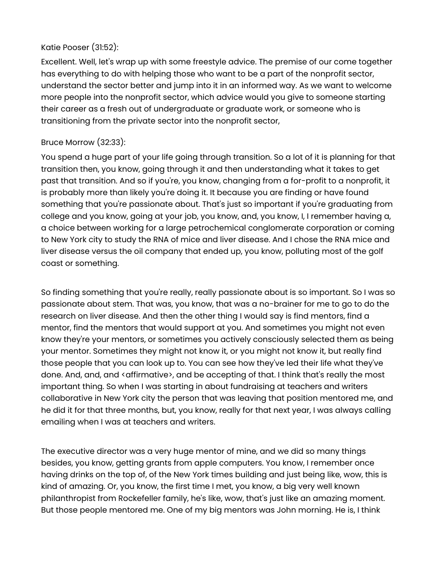#### Katie Pooser (31:52):

Excellent. Well, let's wrap up with some freestyle advice. The premise of our come together has everything to do with helping those who want to be a part of the nonprofit sector, understand the sector better and jump into it in an informed way. As we want to welcome more people into the nonprofit sector, which advice would you give to someone starting their career as a fresh out of undergraduate or graduate work, or someone who is transitioning from the private sector into the nonprofit sector,

### Bruce Morrow (32:33):

You spend a huge part of your life going through transition. So a lot of it is planning for that transition then, you know, going through it and then understanding what it takes to get past that transition. And so if you're, you know, changing from a for-profit to a nonprofit, it is probably more than likely you're doing it. It because you are finding or have found something that you're passionate about. That's just so important if you're graduating from college and you know, going at your job, you know, and, you know, I, I remember having a, a choice between working for a large petrochemical conglomerate corporation or coming to New York city to study the RNA of mice and liver disease. And I chose the RNA mice and liver disease versus the oil company that ended up, you know, polluting most of the golf coast or something.

So finding something that you're really, really passionate about is so important. So I was so passionate about stem. That was, you know, that was a no-brainer for me to go to do the research on liver disease. And then the other thing I would say is find mentors, find a mentor, find the mentors that would support at you. And sometimes you might not even know they're your mentors, or sometimes you actively consciously selected them as being your mentor. Sometimes they might not know it, or you might not know it, but really find those people that you can look up to. You can see how they've led their life what they've done. And, and, and <affirmative>, and be accepting of that. I think that's really the most important thing. So when I was starting in about fundraising at teachers and writers collaborative in New York city the person that was leaving that position mentored me, and he did it for that three months, but, you know, really for that next year, I was always calling emailing when I was at teachers and writers.

The executive director was a very huge mentor of mine, and we did so many things besides, you know, getting grants from apple computers. You know, I remember once having drinks on the top of, of the New York times building and just being like, wow, this is kind of amazing. Or, you know, the first time I met, you know, a big very well known philanthropist from Rockefeller family, he's like, wow, that's just like an amazing moment. But those people mentored me. One of my big mentors was John morning. He is, I think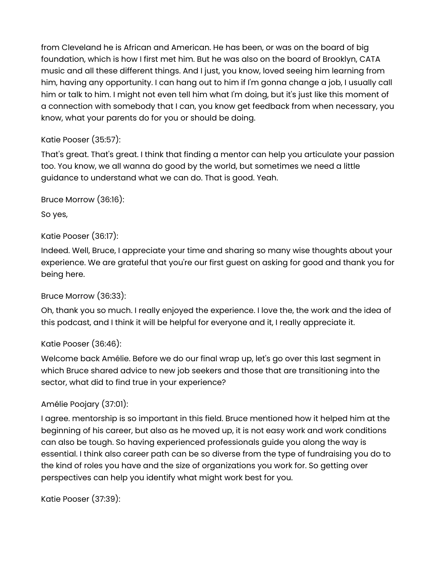from Cleveland he is African and American. He has been, or was on the board of big foundation, which is how I first met him. But he was also on the board of Brooklyn, CATA music and all these different things. And I just, you know, loved seeing him learning from him, having any opportunity. I can hang out to him if I'm gonna change a job, I usually call him or talk to him. I might not even tell him what I'm doing, but it's just like this moment of a connection with somebody that I can, you know get feedback from when necessary, you know, what your parents do for you or should be doing.

# Katie Pooser (35:57):

That's great. That's great. I think that finding a mentor can help you articulate your passion too. You know, we all wanna do good by the world, but sometimes we need a little guidance to understand what we can do. That is good. Yeah.

Bruce Morrow [\(36:16\)](https://www.temi.com/editor/t/bFtn19aCJnpD6G16pzbVz7j01Zhfv3mNh2PzOVXsYmKnQx3OsM0tU9gdyR9BU9q-2PqYff-zF0cennZyEcGkTPn5M1A?loadFrom=DocumentDeeplink&ts=2176.96):

So yes,

## Katie Pooser (36:17):

Indeed. Well, Bruce, I appreciate your time and sharing so many wise thoughts about your experience. We are grateful that you're our first guest on asking for good and thank you for being here.

### Bruce Morrow (36:33):

Oh, thank you so much. I really enjoyed the experience. I love the, the work and the idea of this podcast, and I think it will be helpful for everyone and it, I really appreciate it.

### Katie Pooser (36:46):

Welcome back Amélie. Before we do our final wrap up, let's go over this last segment in which Bruce shared advice to new job seekers and those that are transitioning into the sector, what did to find true in your experience?

### Amélie Poojary (37:01):

I agree. mentorship is so important in this field. Bruce mentioned how it helped him at the beginning of his career, but also as he moved up, it is not easy work and work conditions can also be tough. So having experienced professionals guide you along the way is essential. I think also career path can be so diverse from the type of fundraising you do to the kind of roles you have and the size of organizations you work for. So getting over perspectives can help you identify what might work best for you.

Katie Pooser (37:39):